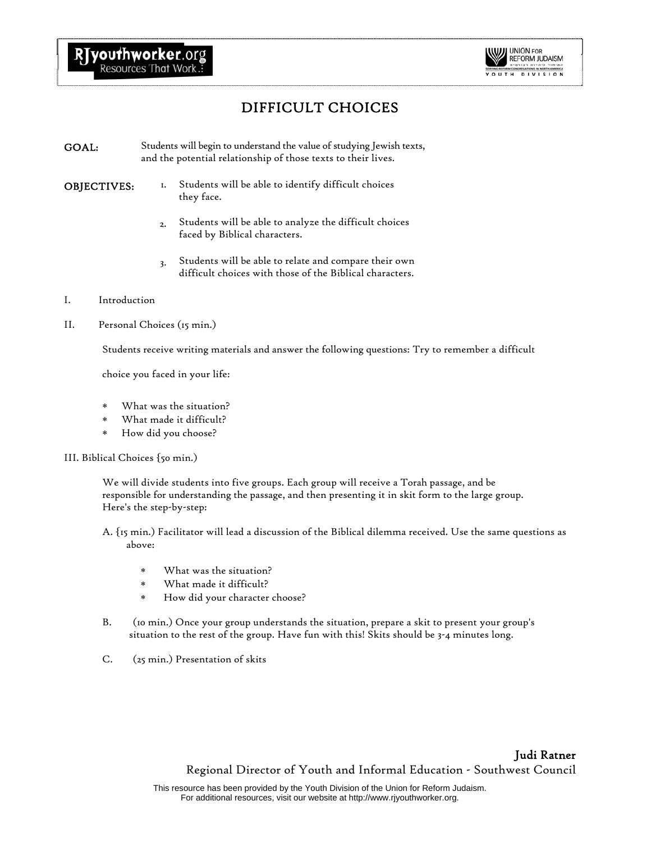

## DIFFICULT CHOICES

- GOAL: Students will begin to understand the value of studying Jewish texts, and the potential relationship of those texts to their lives.
- 
- OBJECTIVES: 1. Students will be able to identify difficult choices they face.
	- 2. Students will be able to analyze the difficult choices faced by Biblical characters.
	- 3. Students will be able to relate and compare their own difficult choices with those of the Biblical characters.
- I. Introduction
- II. Personal Choices (15 min.)

Students receive writing materials and answer the following questions: Try to remember a difficult

choice you faced in your life:

- What was the situation?
- What made it difficult?
- ∗ How did you choose?

## III. Biblical Choices {50 min.)

We will divide students into five groups. Each group will receive a Torah passage, and be responsible for understanding the passage, and then presenting it in skit form to the large group. Here's the step-by-step:

- A. {15 min.) Facilitator will lead a discussion of the Biblical dilemma received. Use the same questions as above:
	- ∗ What was the situation?
	- ∗ What made it difficult?
	- ∗ How did your character choose?
- B. (10 min.) Once your group understands the situation, prepare a skit to present your group's situation to the rest of the group. Have fun with this! Skits should be 3-4 minutes long.
- C. (25 min.) Presentation of skits